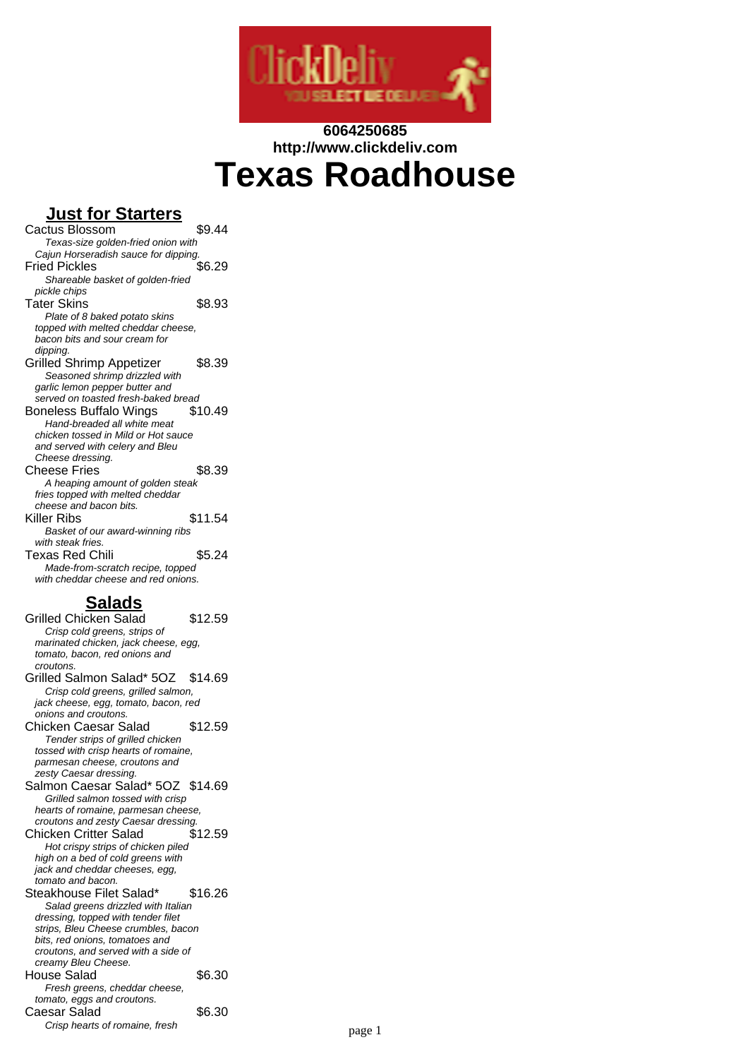

# **6064250685 http://www.clickdeliv.com Texas Roadhouse**

## **Just for Starters**

Cactus Blossom \$9.44 Texas-size golden-fried onion with Cajun Horseradish sauce for dipping.<br>19.08 vied Pickles **Fried Pickles** Shareable basket of golden-fried pickle chips Tater Skins \$8.93 Plate of 8 baked potato skins topped with melted cheddar cheese, bacon bits and sour cream for dipping Grilled Shrimp Appetizer \$8.39 Seasoned shrimp drizzled with garlic lemon pepper butter and served on toasted fresh-baked bread Boneless Buffalo Wings \$10.49 Hand-breaded all white meat chicken tossed in Mild or Hot sauce and served with celery and Bleu Cheese dressing. Cheese Fries \$8.39 A heaping amount of golden steak fries topped with melted cheddar cheese and bacon bits. Killer Ribs \$11.54 Basket of our award-winning ribs with steak fries. Texas Red Chili  $$5.24$ Made-from-scratch recipe, topped with cheddar cheese and red onions.

# **Salads**

Grilled Chicken Salad \$12.59 Crisp cold greens, strips of marinated chicken, jack cheese, egg, tomato, bacon, red onions and croutons. Grilled Salmon Salad\* 5OZ \$14.69 Crisp cold greens, grilled salmon, jack cheese, egg, tomato, bacon, red onions and croutons. Chicken Caesar Salad \$12.59 Tender strips of grilled chicken tossed with crisp hearts of romaine, parmesan cheese, croutons and zesty Caesar dressing. Salmon Caesar Salad\* 5OZ \$14.69 Grilled salmon tossed with crisp hearts of romaine, parmesan cheese, croutons and zesty Caesar dressing. Chicken Critter Salad \$12.59 Hot crispy strips of chicken piled high on a bed of cold greens with jack and cheddar cheeses, egg, tomato and bacon. Steakhouse Filet Salad\* \$16.26 Salad greens drizzled with Italian dressing, topped with tender filet strips, Bleu Cheese crumbles, bacon bits, red onions, tomatoes and croutons, and served with a side of creamy Bleu Cheese. House Salad \$6.30 Fresh greens, cheddar cheese, tomato, eggs and croutons. Caesar Salad \$6.30 Crisp hearts of romaine, fresh page 1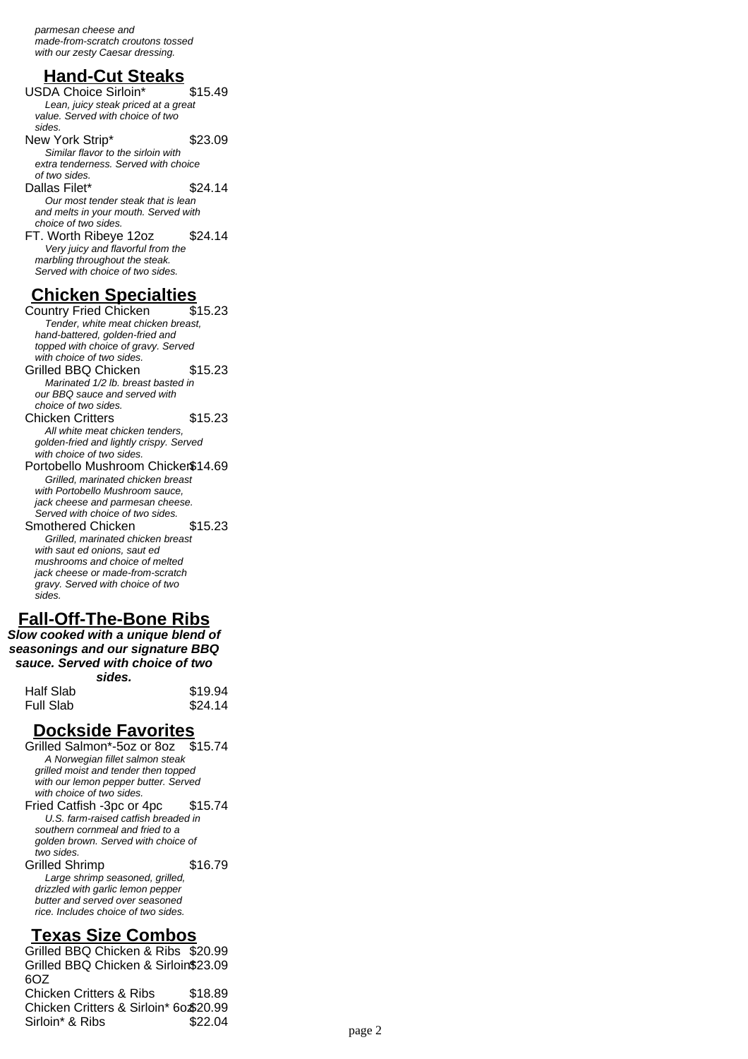parmesan cheese and made-from-scratch croutons tossed with our zesty Caesar dressing.

## **Hand-Cut Steaks**

USDA Choice Sirloin\* \$15.49 Lean, juicy steak priced at a great value. Served with choice of two sides. New York Strip\* \$23.09 Similar flavor to the sirloin with extra tenderness. Served with choice of two sides. Dallas Filet\* \$24.14 Our most tender steak that is lean and melts in your mouth. Served with choice of two sides. FT. Worth Ribeye 12oz \$24.14 Very juicy and flavorful from the marbling throughout the steak. Served with choice of two sides.

# **Chicken Specialties**<br>Country Fried Chicken \$15.23

Country Fried Chicken Tender, white meat chicken breast, hand-battered, golden-fried and topped with choice of gravy. Served with choice of two sides. Grilled BBQ Chicken \$15.23 Marinated 1/2 lb. breast basted in our BBQ sauce and served with choice of two sides. Chicken Critters \$15.23 All white meat chicken tenders, golden-fried and lightly crispy. Served with choice of two sides. Portobello Mushroom Chicken\$14.69 Grilled, marinated chicken breast with Portobello Mushroom sauce, jack cheese and parmesan cheese. Served with choice of two sides. Smothered Chicken \$15.23 Grilled, marinated chicken breast with saut ed onions, saut ed mushrooms and choice of melted jack cheese or made-from-scratch gravy. Served with choice of two

# **Fall-Off-The-Bone Ribs**

sides.

**Slow cooked with a unique blend of seasonings and our signature BBQ sauce. Served with choice of two sides.**

|           | -------- |         |
|-----------|----------|---------|
| Half Slab |          | \$19.94 |
| Full Slab |          | \$24.14 |
|           |          |         |

#### **Dockside Favorites**

Grilled Salmon\*-5oz or 8oz \$15.74 A Norwegian fillet salmon steak grilled moist and tender then topped with our lemon pepper butter. Served with choice of two sides. Fried Catfish -3pc or 4pc \$15.74 U.S. farm-raised catfish breaded in southern cornmeal and fried to a golden brown. Served with choice of two sides. Grilled Shrimp \$16.79 Large shrimp seasoned, grilled, drizzled with garlic lemon pepper butter and served over seasoned rice. Includes choice of two sides.

#### **Texas Size Combos**

Grilled BBQ Chicken & Ribs \$20.99 Grilled BBQ Chicken & Sirloin\$23.09  $607$ Chicken Critters & Ribs \$18.89 Chicken Critters & Sirloin\* 6oz\$20.99 Sirloin\* & Ribs  $$22.04$  page 2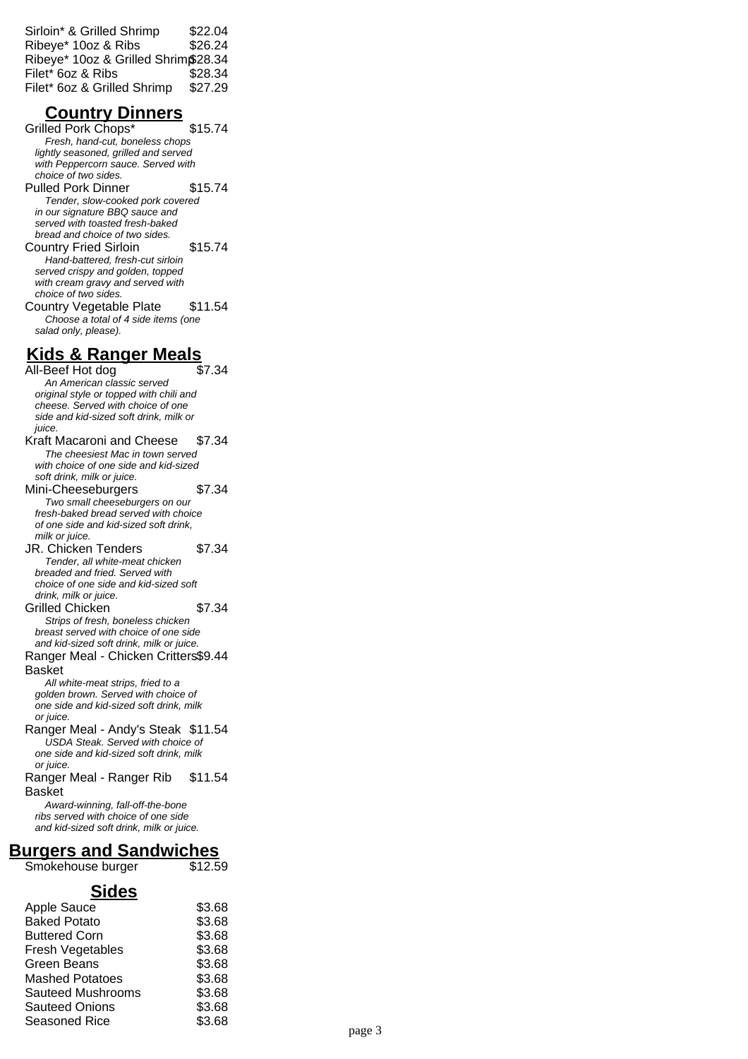| Sirloin* & Grilled Shrimp           | \$22.04 |
|-------------------------------------|---------|
| Ribeye* 10oz & Ribs                 | \$26.24 |
| Ribeye* 10oz & Grilled Shrim\$28.34 |         |
| Filet* 6oz & Ribs                   | \$28.34 |
| Filet* 6oz & Grilled Shrimp         | \$27.29 |

#### **Country Dinners**

Grilled Pork Chops\* \$15.74 Fresh, hand-cut, boneless chops lightly seasoned, grilled and served with Peppercorn sauce. Served with choice of two sides. Pulled Pork Dinner \$15.74 Tender, slow-cooked pork covered in our signature BBQ sauce and served with toasted fresh-baked bread and choice of two sides. Country Fried Sirloin \$15.74 Hand-battered, fresh-cut sirloin served crispy and golden, topped with cream gravy and served with choice of two sides. Country Vegetable Plate \$11.54 Choose a total of 4 side items (one salad only, please).

## **Kids & Ranger Meals**

All-Beef Hot dog \$7.34 An American classic served original style or topped with chili and cheese. Served with choice of one side and kid-sized soft drink, milk or juice. Kraft Macaroni and Cheese \$7.34 The cheesiest Mac in town served with choice of one side and kid-sized soft drink, milk or juice. Mini-Cheeseburgers \$7.34 Two small cheeseburgers on our fresh-baked bread served with choice of one side and kid-sized soft drink, milk or juice. JR. Chicken Tenders \$7.34 Tender, all white-meat chicken breaded and fried. Served with choice of one side and kid-sized soft drink, milk or juice. Grilled Chicken \$7.34 Strips of fresh, boneless chicken breast served with choice of one side and kid-sized soft drink, milk or juice. Ranger Meal - Chicken Critters \$9.44 Basket All white-meat strips, fried to a golden brown. Served with choice of one side and kid-sized soft drink, milk or juice. Ranger Meal - Andy's Steak \$11.54 USDA Steak. Served with choice of one side and kid-sized soft drink, milk or juice. Ranger Meal - Ranger Rib Basket \$11.54 Award-winning, fall-off-the-bone ribs served with choice of one side and kid-sized soft drink, milk or juice.

## **Burgers and Sandwiches**

Smokehouse burger \$12.59

#### **Sides**

| \$3.68 |
|--------|
| \$3.68 |
| \$3.68 |
| \$3.68 |
| \$3.68 |
| \$3.68 |
| \$3.68 |
| \$3.68 |
| \$3.68 |
|        |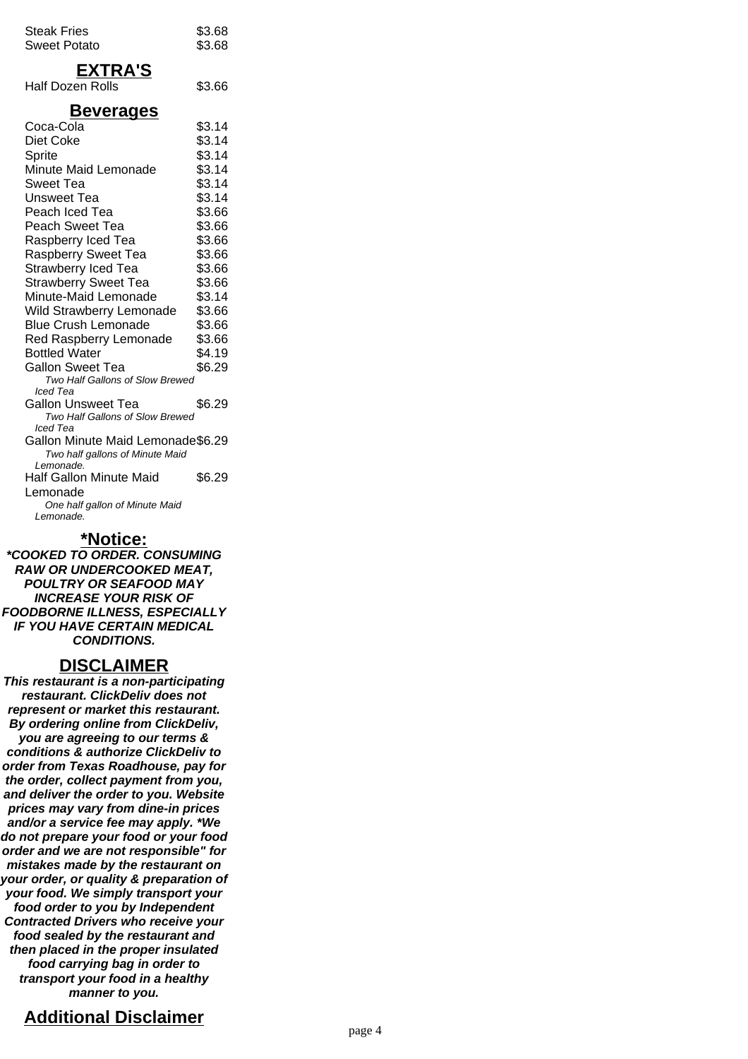| <b>Steak Fries</b><br><b>Sweet Potato</b>                                         | \$3.68<br>\$3.68 |  |
|-----------------------------------------------------------------------------------|------------------|--|
| <b>EXTRA'S</b><br><b>Half Dozen Rolls</b>                                         | \$3.66           |  |
| <u>Beverages</u>                                                                  |                  |  |
| Coca-Cola                                                                         | \$3.14           |  |
| Diet Coke                                                                         | \$3.14           |  |
| Sprite                                                                            | \$3.14           |  |
| Minute Maid Lemonade                                                              | \$3.14           |  |
| Sweet Tea                                                                         | \$3.14           |  |
| Unsweet Tea                                                                       | \$3.14           |  |
| Peach Iced Tea                                                                    | \$3.66           |  |
| Peach Sweet Tea                                                                   | \$3.66           |  |
| Raspberry Iced Tea                                                                | \$3.66           |  |
| <b>Raspberry Sweet Tea</b>                                                        | \$3.66           |  |
| Strawberry Iced Tea                                                               | \$3.66           |  |
| <b>Strawberry Sweet Tea</b>                                                       | \$3.66           |  |
| Minute-Maid Lemonade                                                              | \$3.14           |  |
|                                                                                   |                  |  |
| Wild Strawberry Lemonade                                                          | \$3.66           |  |
| <b>Blue Crush Lemonade</b>                                                        | \$3.66           |  |
| Red Raspberry Lemonade                                                            | \$3.66           |  |
| <b>Bottled Water</b>                                                              | \$4.19           |  |
| <b>Gallon Sweet Tea</b>                                                           | \$6.29           |  |
| Two Half Gallons of Slow Brewed<br>lced Tea                                       |                  |  |
| <b>Gallon Unsweet Tea</b>                                                         | \$6.29           |  |
| Two Half Gallons of Slow Brewed                                                   |                  |  |
| lced Tea                                                                          |                  |  |
| Gallon Minute Maid Lemonade\$6.29<br>Two half gallons of Minute Maid<br>Lemonade. |                  |  |
| Half Gallon Minute Maid                                                           | \$6.29           |  |
| Lemonade                                                                          |                  |  |
| One half gallon of Minute Maid<br>Lemonade.                                       |                  |  |

#### **\*Notice:**

**\*COOKED TO ORDER. CONSUMING RAW OR UNDERCOOKED MEAT, POULTRY OR SEAFOOD MAY INCREASE YOUR RISK OF FOODBORNE ILLNESS, ESPECIALLY IF YOU HAVE CERTAIN MEDICAL CONDITIONS.**

#### **DISCLAIMER**

**This restaurant is a non-participating restaurant. ClickDeliv does not represent or market this restaurant. By ordering online from ClickDeliv, you are agreeing to our terms & conditions & authorize ClickDeliv to order from Texas Roadhouse, pay for the order, collect payment from you, and deliver the order to you. Website prices may vary from dine-in prices and/or a service fee may apply. \*We do not prepare your food or your food order and we are not responsible" for mistakes made by the restaurant on your order, or quality & preparation of your food. We simply transport your food order to you by Independent Contracted Drivers who receive your food sealed by the restaurant and then placed in the proper insulated food carrying bag in order to transport your food in a healthy manner to you.**

## **Additional Disclaimer**